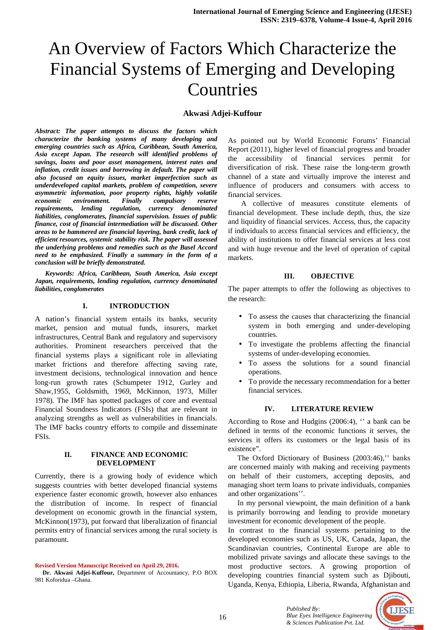# An Overview of Factors Which Characterize the Financial Systems of Emerging and Developing Countries

#### **Akwasi Adjei-Kuffour**

*Abstract: The paper attempts to discuss the factors which characterize the banking systems of many developing and emerging countries such as Africa, Caribbean, South America, Asia except Japan. The research will identified problems of savings, loans and poor asset management, interest rates and inflation, credit issues and borrowing in default. The paper will also focused on equity issues, market imperfection such as underdeveloped capital markets, problem of competition, severe asymmetric information, poor property rights, highly volatile economic environment. Finally compulsory reserve requirements, lending regulation, currency denominated liabilities, conglomerates, financial supervision. Issues of public finance, cost of financial intermediation will be discussed. Other areas to be hammered are financial layering, bank credit, lack of efficient resources, systemic stability risk. The paper will assessed the underlying problems and remedies such as the Basel Accord need to be emphasized. Finally a summary in the form of a conclusion will be briefly demonstrated.* 

 *Keywords: Africa, Caribbean, South America, Asia except Japan, requirements, lending regulation, currency denominated liabilities, conglomerates* 

#### **I. INTRODUCTION**

A nation's financial system entails its banks, security market, pension and mutual funds, insurers, market infrastructures, Central Bank and regulatory and supervisory authorities. Prominent researchers perceived that the financial systems plays a significant role in alleviating market frictions and therefore affecting saving rate, investment decisions, technological innovation and hence long-run growth rates (Schumpeter 1912, Gurley and Shaw,1955, Goldsmith, 1969, McKinnon, 1973, Miller 1978). The IMF has spotted packages of core and eventual Financial Soundness Indicators (FSIs) that are relevant in analyzing strengths as well as vulnerabilities in financials. The IMF backs country efforts to compile and disseminate FSIs.

#### **II. FINANCE AND ECONOMIC DEVELOPMENT**

Currently, there is a growing body of evidence which suggests countries with better developed financial systems experience faster economic growth, however also enhances the distribution of income. In respect of financial development on economic growth in the financial system, McKinnon(1973), put forward that liberalization of financial permits entry of financial services among the rural society is paramount.

#### **Revised Version Manuscript Received on April 29, 2016.**

 **Dr. Akwasi Adjei-Kuffour,** Department of Accountancy, P.O BOX 981 Koforidua –Ghana.

As pointed out by World Economic Forums' Financial Report (2011), higher level of financial progress and broader the accessibility of financial services permit for diversification of risk. These raise the long-term growth channel of a state and virtually improve the interest and influence of producers and consumers with access to financial services.

 A collective of measures constitute elements of financial development. These include depth, thus, the size and liquidity of financial services. Access, thus, the capacity if individuals to access financial services and efficiency, the ability of institutions to offer financial services at less cost and with huge revenue and the level of operation of capital markets.

#### **III. OBJECTIVE**

The paper attempts to offer the following as objectives to the research:

- To assess the causes that characterizing the financial system in both emerging and under-developing countries.
- To investigate the problems affecting the financial systems of under-developing economies.
- To assess the solutions for a sound financial operations.
- To provide the necessary recommendation for a better financial services.

#### **IV. LITERATURE REVIEW**

According to Rose and Hudgins (2006:4), '' a bank can be defined in terms of the economic functions it serves, the services it offers its customers or the legal basis of its existence".

The Oxford Dictionary of Business (2003:46)," banks are concerned mainly with making and receiving payments on behalf of their customers, accepting deposits, and managing short term loans to private individuals, companies and other organizations''.

 In my personal viewpoint, the main definition of a bank is primarily borrowing and lending to provide monetary investment for economic development of the people.

In contrast to the financial systems pertaining to the developed economies such as US, UK, Canada, Japan, the Scandinavian countries, Continental Europe are able to mobilized private savings and allocate these savings to the most productive sectors. A growing proportion of developing countries financial system such as Djibouti, Uganda, Kenya, Ethiopia, Liberia, Rwanda, Afghanistan and

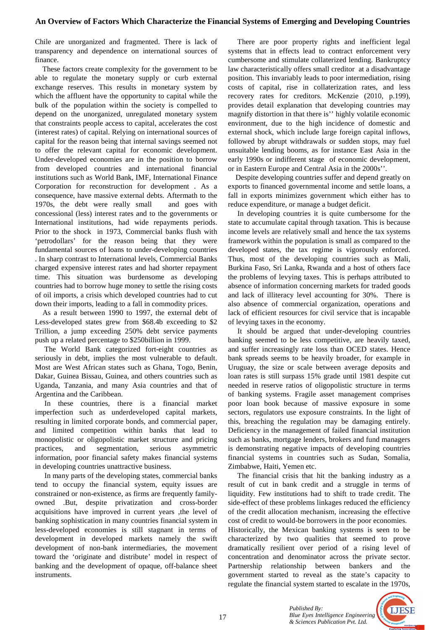Chile are unorganized and fragmented. There is lack of transparency and dependence on international sources of finance.

 These factors create complexity for the government to be able to regulate the monetary supply or curb external exchange reserves. This results in monetary system by which the affluent have the opportunity to capital while the bulk of the population within the society is compelled to depend on the unorganized, unregulated monetary system that constraints people access to capital, accelerates the cost (interest rates) of capital. Relying on international sources of capital for the reason being that internal savings seemed not to offer the relevant capital for economic development. Under-developed economies are in the position to borrow from developed countries and international financial institutions such as World Bank, IMF, International Finance Corporation for reconstruction for development . As a consequence, have massive external debts. Aftermath to the 1970s, the debt were really small and goes with concessional (less) interest rates and to the governments or International institutions, had wide repayments periods. Prior to the shock in 1973, Commercial banks flush with 'petrodollars' for the reason being that they were fundamental sources of loans to under-developing countries . In sharp contrast to International levels, Commercial Banks charged expensive interest rates and had shorter repayment time. This situation was burdensome as developing countries had to borrow huge money to settle the rising costs of oil imports, a crisis which developed countries had to cut down their imports, leading to a fall in commodity prices.

 As a result between 1990 to 1997, the external debt of Less-developed states grew from \$68.4b exceeding to \$2 Trillion, a jump exceeding 250% debt service payments push up a related percentage to \$250billion in 1999.

 The World Bank categorized fort-eight countries as seriously in debt, implies the most vulnerable to default. Most are West African states such as Ghana, Togo, Benin, Dakar, Guinea Bissau, Guinea, and others countries such as Uganda, Tanzania, and many Asia countries and that of Argentina and the Caribbean.

 In these countries, there is a financial market imperfection such as underdeveloped capital markets, resulting in limited corporate bonds, and commercial paper, and limited competition within banks that lead to monopolistic or oligopolistic market structure and pricing practices, and segmentation, serious asymmetric information, poor financial safety makes financial systems in developing countries unattractive business.

 In many parts of the developing states, commercial banks tend to occupy the financial system, equity issues are constrained or non-existence, as firms are frequently familyowned .But, despite privatization and cross-border acquisitions have improved in current years ,the level of banking sophistication in many countries financial system in less-developed economies is still stagnant in terms of development in developed markets namely the swift development of non-bank intermediaries, the movement toward the 'originate and distribute' model in respect of banking and the development of opaque, off-balance sheet instruments.

 There are poor property rights and inefficient legal systems that in effects lead to contract enforcement very cumbersome and stimulate collaterized lending. Bankruptcy law characteristically offers small creditor at a disadvantage position. This invariably leads to poor intermediation, rising costs of capital, rise in collaterization rates, and less recovery rates for creditors. McKenzie (2010, p.199), provides detail explanation that developing countries may magnify distortion in that there is'' highly volatile economic environment, due to the high incidence of domestic and external shock, which include large foreign capital inflows, followed by abrupt withdrawals or sudden stops, may fuel unsuitable lending booms, as for instance East Asia in the early 1990s or indifferent stage of economic development, or in Eastern Europe and Central Asia in the 2000s''.

 Despite developing countries suffer and depend greatly on exports to financed governmental income and settle loans, a fall in exports minimizes government which either has to reduce expenditure, or manage a budget deficit.

 In developing countries it is quite cumbersome for the state to accumulate capital through taxation. This is because income levels are relatively small and hence the tax systems framework within the population is small as compared to the developed states, the tax regime is vigorously enforced. Thus, most of the developing countries such as Mali, Burkina Faso, Sri Lanka, Rwanda and a host of others face the problems of levying taxes. This is perhaps attributed to absence of information concerning markets for traded goods and lack of illiteracy level accounting for 30%. There is also absence of commercial organization, operations and lack of efficient resources for civil service that is incapable of levying taxes in the economy.

 It should be argued that under-developing countries banking seemed to be less competitive, are heavily taxed, and suffer increasingly rate loss than OCED states. Hence bank spreads seems to be heavily broader, for example in Uruguay, the size or scale between average deposits and loan rates is still surpass 15% grade until 1981 despite cut needed in reserve ratios of oligopolistic structure in terms of banking systems. Fragile asset management comprises poor loan book because of massive exposure in some sectors, regulators use exposure constraints. In the light of this, breaching the regulation may be damaging entirely. Deficiency in the management of failed financial institution such as banks, mortgage lenders, brokers and fund managers is demonstrating negative impacts of developing countries financial systems in countries such as Sudan, Somalia, Zimbabwe, Haiti, Yemen etc.

 The financial crisis that hit the banking industry as a result of cut in bank credit and a struggle in terms of liquidity. Few institutions had to shift to trade credit. The side-effect of these problems linkages reduced the efficiency of the credit allocation mechanism, increasing the effective cost of credit to would-be borrowers in the poor economies. Historically, the Mexican banking systems is seen to be characterized by two qualities that seemed to prove dramatically resilient over period of a rising level of concentration and denominator across the private sector. Partnership relationship between bankers and the government started to reveal as the state's capacity to regulate the financial system started to escalate in the 1970s,



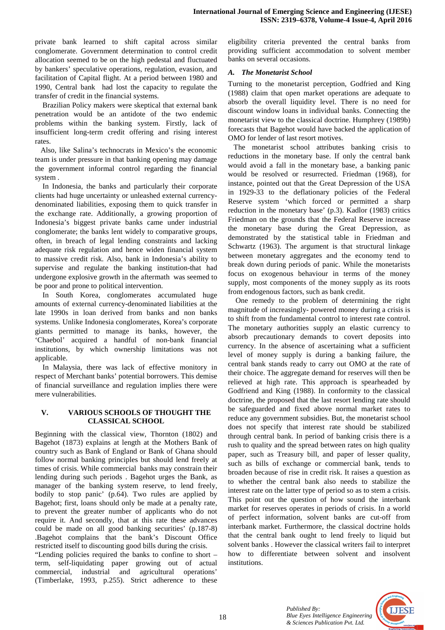private bank learned to shift capital across similar conglomerate. Government determination to control credit allocation seemed to be on the high pedestal and fluctuated by bankers' speculative operations, regulation, evasion, and facilitation of Capital flight. At a period between 1980 and 1990, Central bank had lost the capacity to regulate the transfer of credit in the financial systems.

 Brazilian Policy makers were skeptical that external bank penetration would be an antidote of the two endemic problems within the banking system. Firstly, lack of insufficient long-term credit offering and rising interest rates.

 Also, like Salina's technocrats in Mexico's the economic team is under pressure in that banking opening may damage the government informal control regarding the financial system .

 In Indonesia, the banks and particularly their corporate clients had huge uncertainty or unleashed external currencydenominated liabilities, exposing them to quick transfer in the exchange rate. Additionally, a growing proportion of Indonesia's biggest private banks came under industrial conglomerate; the banks lent widely to comparative groups, often, in breach of legal lending constraints and lacking adequate risk regulation and hence widen financial system to massive credit risk. Also, bank in Indonesia's ability to supervise and regulate the banking institution-that had undergone explosive growth in the aftermath was seemed to be poor and prone to political intervention.

 In South Korea, conglomerates accumulated huge amounts of external currency-denominated liabilities at the late 1990s in loan derived from banks and non banks systems. Unlike Indonesia conglomerates, Korea's corporate giants permitted to manage its banks, however, the 'Chaebol' acquired a handful of non-bank financial institutions, by which ownership limitations was not applicable.

 In Malaysia, there was lack of effective monitory in respect of Merchant banks' potential borrowers. This demise of financial surveillance and regulation implies there were mere vulnerabilities.

## **V. VARIOUS SCHOOLS OF THOUGHT THE CLASSICAL SCHOOL**

Beginning with the classical view, Thornton (1802) and Bagehot (1873) explains at length at the Mothers Bank of country such as Bank of England or Bank of Ghana should follow normal banking principles but should lend freely at times of crisis. While commercial banks may constrain their lending during such periods . Bagehot urges the Bank, as manager of the banking system reserve, to lend freely, bodily to stop panic' (p.64). Two rules are applied by Bagehot; first, loans should only be made at a penalty rate, to prevent the greater number of applicants who do not require it. And secondly, that at this rate these advances could be made on all good banking securities' (p.187-8) .Bagehot complains that the bank's Discount Office restricted itself to discounting good bills during the crisis.

"Lending policies required the banks to confine to short – term, self-liquidating paper growing out of actual commercial, industrial and agricultural operations' (Timberlake, 1993, p.255). Strict adherence to these

eligibility criteria prevented the central banks from providing sufficient accommodation to solvent member banks on several occasions.

# *A. The Monetarist School*

Turning to the monetarist perception, Godfried and King (1988) claim that open market operations are adequate to absorb the overall liquidity level. There is no need for discount window loans in individual banks. Connecting the monetarist view to the classical doctrine. Humphrey (1989b) forecasts that Bagehot would have backed the application of OMO for lender of last resort motives.

 The monetarist school attributes banking crisis to reductions in the monetary base. If only the central bank would avoid a fall in the monetary base, a banking panic would be resolved or resurrected. Friedman (1968), for instance, pointed out that the Great Depression of the USA in 1929-33 to the deflationary policies of the Federal Reserve system 'which forced or permitted a sharp reduction in the monetary base' (p.3). Kadlor (1983) critics Friedman on the grounds that the Federal Reserve increase the monetary base during the Great Depression, as demonstrated by the statistical table in Friedman and Schwartz (1963). The argument is that structural linkage between monetary aggregates and the economy tend to break down during periods of panic. While the monetarists focus on exogenous behaviour in terms of the money supply, most components of the money supply as its roots from endogenous factors, such as bank credit.

 One remedy to the problem of determining the right magnitude of increasingly- powered money during a crisis is to shift from the fundamental control to interest rate control. The monetary authorities supply an elastic currency to absorb precautionary demands to covert deposits into currency. In the absence of ascertaining what a sufficient level of money supply is during a banking failure, the central bank stands ready to carry out OMO at the rate of their choice. The aggregate demand for reserves will then be relieved at high rate. This approach is spearheaded by Godfriend and King (1988). In conformity to the classical doctrine, the proposed that the last resort lending rate should be safeguarded and fixed above normal market rates to reduce any government subsidies. But, the monetarist school does not specify that interest rate should be stabilized through central bank. In period of banking crisis there is a rush to quality and the spread between rates on high quality paper, such as Treasury bill, and paper of lesser quality, such as bills of exchange or commercial bank, tends to broaden because of rise in credit risk. It raises a question as to whether the central bank also needs to stabilize the interest rate on the latter type of period so as to stem a crisis. This point out the question of how sound the interbank market for reserves operates in periods of crisis. In a world of perfect information, solvent banks are cut-off from interbank market. Furthermore, the classical doctrine holds that the central bank ought to lend freely to liquid but solvent banks . However the classical writers fail to interpret how to differentiate between solvent and insolvent institutions.

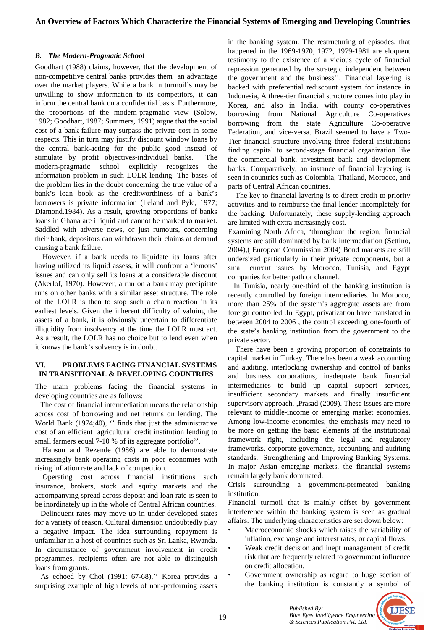#### *B. The Modern-Pragmatic School*

Goodhart (1988) claims, however, that the development of non-competitive central banks provides them an advantage over the market players. While a bank in turmoil's may be unwilling to show information to its competitors, it can inform the central bank on a confidential basis. Furthermore, the proportions of the modern-pragmatic view (Solow, 1982; Goodhart, 1987; Summers, 1991) argue that the social cost of a bank failure may surpass the private cost in some respects. This in turn may justify discount window loans by the central bank-acting for the public good instead of stimulate by profit objectives-individual banks. The modern-pragmatic school explicitly recognizes the information problem in such LOLR lending. The bases of the problem lies in the doubt concerning the true value of a bank's loan book as the creditworthiness of a bank's borrowers is private information (Leland and Pyle, 1977; Diamond.1984). As a result, growing proportions of banks loans in Ghana are illiquid and cannot be marked to market. Saddled with adverse news, or just rumours, concerning their bank, depositors can withdrawn their claims at demand causing a bank failure.

 However, if a bank needs to liquidate its loans after having utilized its liquid assess, it will confront a 'lemons' issues and can only sell its loans at a considerable discount (Akerlof, 1970). However, a run on a bank may precipitate runs on other banks with a similar asset structure. The role of the LOLR is then to stop such a chain reaction in its earliest levels. Given the inherent difficulty of valuing the assets of a bank, it is obviously uncertain to differentiate illiquidity from insolvency at the time the LOLR must act. As a result, the LOLR has no choice but to lend even when it knows the bank's solvency is in doubt.

## **VI. PROBLEMS FACING FINANCIAL SYSTEMS IN TRANSITIONAL & DEVELOPING COUNTRIES**

The main problems facing the financial systems in developing countries are as follows:

 The cost of financial intermediation means the relationship across cost of borrowing and net returns on lending. The World Bank (1974;40), " finds that just the administrative cost of an efficient agricultural credit institution lending to small farmers equal 7-10 % of its aggregate portfolio''.

 Hanson and Rezende (1986) are able to demonstrate increasingly bank operating costs in poor economies with rising inflation rate and lack of competition.

 Operating cost across financial institutions such insurance, brokers, stock and equity markets and the accompanying spread across deposit and loan rate is seen to be inordinately up in the whole of Central African countries.

 Delinquent rates may move up in under-developed states for a variety of reason. Cultural dimension undoubtedly play a negative impact. The idea surrounding repayment is unfamiliar in a host of countries such as Sri Lanka, Rwanda. In circumstance of government involvement in credit programmes, recipients often are not able to distinguish loans from grants.

 As echoed by Choi (1991: 67-68),'' Korea provides a surprising example of high levels of non-performing assets

in the banking system. The restructuring of episodes, that happened in the 1969-1970, 1972, 1979-1981 are eloquent testimony to the existence of a vicious cycle of financial repression generated by the strategic independent between the government and the business''. Financial layering is backed with preferential rediscount system for instance in Indonesia, A three-tier financial structure comes into play in Korea, and also in India, with county co-operatives borrowing from National Agriculture Co-operatives borrowing from the state Agriculture Co-operative Federation, and vice-versa. Brazil seemed to have a Two-Tier financial structure involving three federal institutions finding capital to second-stage financial organization like the commercial bank, investment bank and development banks. Comparatively, an instance of financial layering is seen in countries such as Colombia, Thailand, Morocco, and parts of Central African countries.

 The key to financial layering is to direct credit to priority activities and to reimburse the final lender incompletely for the backing. Unfortunately, these supply-lending approach are limited with extra increasingly cost.

Examining North Africa, 'throughout the region, financial systems are still dominated by bank intermediation (Settino, 2004),( European Commission 2004) Bond markets are still undersized particularly in their private components, but a small current issues by Morocco, Tunisia, and Egypt companies for better path or channel.

 In Tunisia, nearly one-third of the banking institution is recently controlled by foreign intermediaries. In Morocco, more than 25% of the system's aggregate assets are from foreign controlled .In Egypt, privatization have translated in between 2004 to 2006 , the control exceeding one-fourth of the state's banking institution from the government to the private sector.

 There have been a growing proportion of constraints to capital market in Turkey. There has been a weak accounting and auditing, interlocking ownership and control of banks and business corporations, inadequate bank financial intermediaries to build up capital support services, insufficient secondary markets and finally insufficient supervisory approach. ,Prasad (2009). These issues are more relevant to middle-income or emerging market economies. Among low-income economies, the emphasis may need to be more on getting the basic elements of the institutional framework right, including the legal and regulatory frameworks, corporate governance, accounting and auditing standards. Strengthening and Improving Banking Systems. In major Asian emerging markets, the financial systems remain largely bank dominated.

Crisis surrounding a government-permeated banking institution.

Financial turmoil that is mainly offset by government interference within the banking system is seen as gradual affairs. The underlying characteristics are set down below:

- Macroeconomic shocks which raises the variability of inflation, exchange and interest rates, or capital flows.
- Weak credit decision and inept management of credit risk that are frequently related to government influence on credit allocation.
- Government ownership as regard to huge section of the banking institution is constantly a symbol of

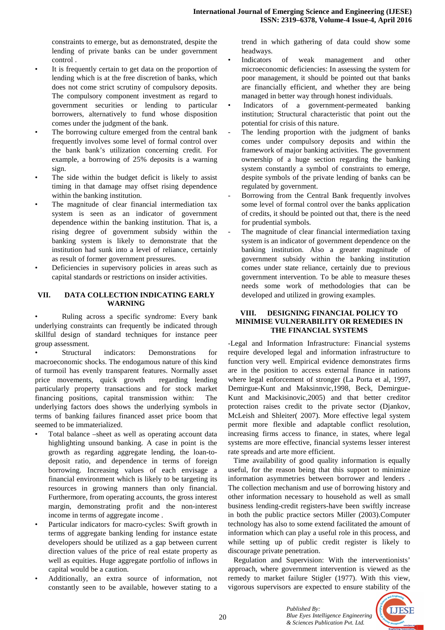constraints to emerge, but as demonstrated, despite the lending of private banks can be under government control .

- It is frequently certain to get data on the proportion of lending which is at the free discretion of banks, which does not come strict scrutiny of compulsory deposits. The compulsory component investment as regard to government securities or lending to particular borrowers, alternatively to fund whose disposition comes under the judgment of the bank.
- The borrowing culture emerged from the central bank frequently involves some level of formal control over the bank bank's utilization concerning credit. For example, a borrowing of 25% deposits is a warning sign.
- The side within the budget deficit is likely to assist timing in that damage may offset rising dependence within the banking institution.
- The magnitude of clear financial intermediation tax system is seen as an indicator of government dependence within the banking institution. That is, a rising degree of government subsidy within the banking system is likely to demonstrate that the institution had sunk into a level of reliance, certainly as result of former government pressures.
- Deficiencies in supervisory policies in areas such as capital standards or restrictions on insider activities.

## **VII. DATA COLLECTION INDICATING EARLY WARNING**

Ruling across a specific syndrome: Every bank underlying constraints can frequently be indicated through skillful design of standard techniques for instance peer group assessment.

Structural indicators: Demonstrations for macroeconomic shocks. The endogamous nature of this kind of turmoil has evenly transparent features. Normally asset price movements, quick growth regarding lending particularly property transactions and for stock market financing positions, capital transmission within: The underlying factors does shows the underlying symbols in terms of banking failures financed asset price boom that seemed to be immaterialized.

- Total balance –sheet as well as operating account data highlighting unsound banking. A case in point is the growth as regarding aggregate lending, the loan-todeposit ratio, and dependence in terms of foreign borrowing. Increasing values of each envisage a financial environment which is likely to be targeting its resources in growing manners than only financial. Furthermore, from operating accounts, the gross interest margin, demonstrating profit and the non-interest income in terms of aggregate income .
- Particular indicators for macro-cycles: Swift growth in terms of aggregate banking lending for instance estate developers should be utilized as a gap between current direction values of the price of real estate property as well as equities. Huge aggregate portfolio of inflows in capital would be a caution.
- Additionally, an extra source of information, not constantly seen to be available, however stating to a

trend in which gathering of data could show some headways.

- Indicators of weak management and other microeconomic deficiencies: In assessing the system for poor management, it should be pointed out that banks are financially efficient, and whether they are being managed in better way through honest individuals.
- Indicators of a government-permeated banking institution; Structural characteristic that point out the potential for crisis of this nature.
- The lending proportion with the judgment of banks comes under compulsory deposits and within the framework of major banking activities. The government ownership of a huge section regarding the banking system constantly a symbol of constraints to emerge, despite symbols of the private lending of banks can be regulated by government.
- Borrowing from the Central Bank frequently involves some level of formal control over the banks application of credits, it should be pointed out that, there is the need for prudential symbols.
- The magnitude of clear financial intermediation taxing system is an indicator of government dependence on the banking institution. Also a greater magnitude of government subsidy within the banking institution comes under state reliance, certainly due to previous government intervention. To be able to measure theses needs some work of methodologies that can be developed and utilized in growing examples.

## **VIII. DESIGNING FINANCIAL POLICY TO MINIMISE VULNERABILITY OR REMEDIES IN THE FINANCIAL SYSTEMS**

-Legal and Information Infrastructure: Financial systems require developed legal and information infrastructure to function very well. Empirical evidence demonstrates firms are in the position to access external finance in nations where legal enforcement of stronger (La Porta et al, 1997, Demirgue-Kunt and Maksinnvic,1998, Beck, Demirgue-Kunt and Mackisinovic,2005) and that better creditor protection raises credit to the private sector (Djankov, McLeish and Shleiter( 2007). More effective legal system permit more flexible and adaptable conflict resolution, increasing firms access to finance, in states, where legal systems are more effective, financial systems lesser interest rate spreads and arte more efficient.

 Time availability of good quality information is equally useful, for the reason being that this support to minimize information asymmetries between borrower and lenders . The collection mechanism and use of borrowing history and other information necessary to household as well as small business lending-credit registers-have been swiftly increase in both the public practice sectors Miller (2003).Computer technology has also to some extend facilitated the amount of information which can play a useful role in this process, and while setting up of public credit register is likely to discourage private penetration.

 Regulation and Supervision: With the interventionists' approach, where government intervention is viewed as the remedy to market failure Stigler (1977). With this view, vigorous supervisors are expected to ensure stability of the

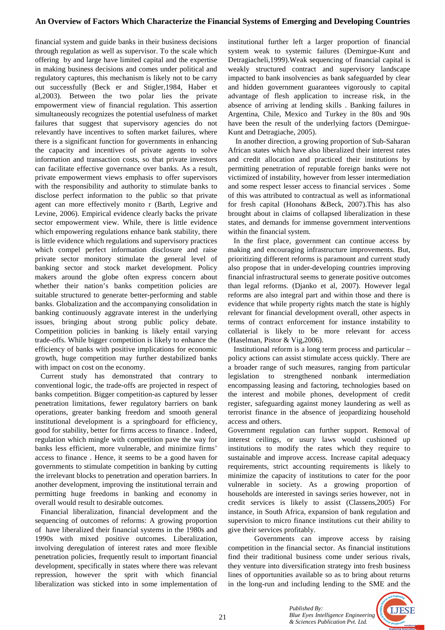# **An Overview of Factors Which Characterize the Financial Systems of Emerging and Developing Countries**

financial system and guide banks in their business decisions through regulation as well as supervisor. To the scale which offering by and large have limited capital and the expertise in making business decisions and comes under political and regulatory captures, this mechanism is likely not to be carry out successfully (Beck er and Stigler,1984, Haber et al,2003). Between the two polar lies the private empowerment view of financial regulation. This assertion simultaneously recognizes the potential usefulness of market failures that suggest that supervisory agencies do not relevantly have incentives to soften market failures, where there is a significant function for governments in enhancing the capacity and incentives of private agents to solve information and transaction costs, so that private investors can facilitate effective governance over banks. As a result, private empowerment views emphasis to offer supervisors with the responsibility and authority to stimulate banks to disclose perfect information to the public so that private agent can more effectively monito r (Barth, Legrive and Levine, 2006). Empirical evidence clearly backs the private sector empowerment view. While, there is little evidence which empowering regulations enhance bank stability, there is little evidence which regulations and supervisory practices which compel perfect information disclosure and raise private sector monitory stimulate the general level of banking sector and stock market development. Policy makers around the globe often express concern about whether their nation's banks competition policies are suitable structured to generate better-performing and stable banks. Globalization and the accompanying consolidation in banking continuously aggravate interest in the underlying issues, bringing about strong public policy debate. Competition policies in banking is likely entail varying trade-offs. While bigger competition is likely to enhance the efficiency of banks with positive implications for economic growth, huge competition may further destabilized banks with impact on cost on the economy.

 Current study has demonstrated that contrary to conventional logic, the trade-offs are projected in respect of banks competition. Bigger competition-as captured by lesser penetration limitations, fewer regulatory barriers on bank operations, greater banking freedom and smooth general institutional development is a springboard for efficiency, good for stability, better for firms access to finance . Indeed, regulation which mingle with competition pave the way for banks less efficient, more vulnerable, and minimize firms' access to finance . Hence, it seems to be a good haven for governments to stimulate competition in banking by cutting the irrelevant blocks to penetration and operation barriers. In another development, improving the institutional terrain and permitting huge freedoms in banking and economy in overall would result to desirable outcomes.

 Financial liberalization, financial development and the sequencing of outcomes of reforms: A growing proportion of have liberalized their financial systems in the 1980s and 1990s with mixed positive outcomes. Liberalization, involving deregulation of interest rates and more flexible penetration policies, frequently result to important financial development, specifically in states where there was relevant repression, however the sprit with which financial liberalization was sticked into in some implementation of

institutional further left a larger proportion of financial system weak to systemic failures (Demirgue-Kunt and Detragiacheli,1999).Weak sequencing of financial capital is weakly structured contract and supervisory landscape impacted to bank insolvencies as bank safeguarded by clear and hidden government guarantees vigorously to capital advantage of flesh application to increase risk, in the absence of arriving at lending skills . Banking failures in Argentina, Chile, Mexico and Turkey in the 80s and 90s have been the result of the underlying factors (Demirgue-Kunt and Detragiache, 2005).

 In another direction, a growing proportion of Sub-Saharan African states which have also liberalized their interest rates and credit allocation and practiced their institutions by permitting penetration of reputable foreign banks were not victimized of instability, however from lesser intermediation and some respect lesser access to financial services . Some of this was attributed to contractual as well as informational for fresh capital (Honohans &Beck, 2007).This has also brought about in claims of collapsed liberalization in these states, and demands for immense government interventions within the financial system.

 In the first place, government can continue access by making and encouraging infrastructure improvements. But, prioritizing different reforms is paramount and current study also propose that in under-developing countries improving financial infrastructural seems to generate positive outcomes than legal reforms. (Djanko et al, 2007). However legal reforms are also integral part and within those and there is evidence that while property rights match the state is highly relevant for financial development overall, other aspects in terms of contract enforcement for instance instability to collaterial is likely to be more relevant for access (Haselman, Pistor & Vig,2006).

 Institutional reform is a long term process and particular – policy actions can assist stimulate access quickly. There are a broader range of such measures, ranging from particular legislation to strengthened nonbank intermediation encompassing leasing and factoring, technologies based on the interest and mobile phones, development of credit register, safeguarding against money laundering as well as terrorist finance in the absence of jeopardizing household access and others.

Government regulation can further support. Removal of interest ceilings, or usury laws would cushioned up institutions to modify the rates which they require to sustainable and improve access. Increase capital adequacy requirements, strict accounting requirements is likely to minimize the capacity of institutions to cater for the poor vulnerable in society. As a growing proportion of households are interested in savings series however, not in credit services is likely to assist (Classens,2005) For instance, in South Africa, expansion of bank regulation and supervision to micro finance institutions cut their ability to give their services profitably.

 Governments can improve access by raising competition in the financial sector. As financial institutions find their traditional business come under serious rivals, they venture into diversification strategy into fresh business lines of opportunities available so as to bring about returns in the long-run and including lending to the SME and the

> *Published By: Blue Eyes Intelligence Engineering & Sciences Publication Pvt. Ltd.*

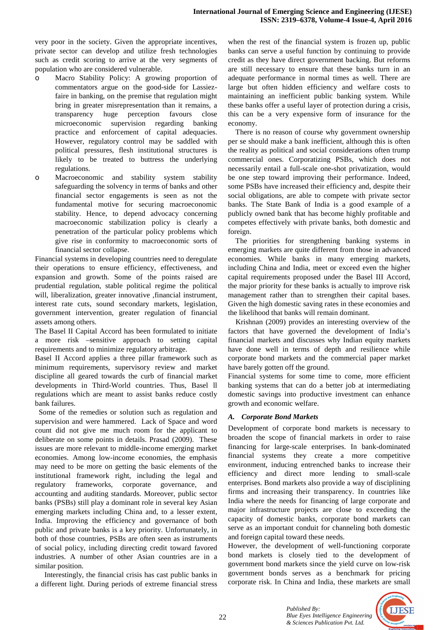very poor in the society. Given the appropriate incentives, private sector can develop and utilize fresh technologies such as credit scoring to arrive at the very segments of population who are considered vulnerable.

- Macro Stability Policy: A growing proportion of commentators argue on the good-side for Lassiezfaire in banking, on the premise that regulation might bring in greater misrepresentation than it remains, a transparency huge perception favours close microeconomic supervision regarding banking practice and enforcement of capital adequacies. However, regulatory control may be saddled with political pressures, flesh institutional structures is likely to be treated to buttress the underlying regulations.
- o Macroeconomic and stability system stability safeguarding the solvency in terms of banks and other financial sector engagements is seen as not the fundamental motive for securing macroeconomic stability. Hence, to depend advocacy concerning macroeconomic stabilization policy is clearly a penetration of the particular policy problems which give rise in conformity to macroeconomic sorts of financial sector collapse.

Financial systems in developing countries need to deregulate their operations to ensure efficiency, effectiveness, and expansion and growth. Some of the points raised are prudential regulation, stable political regime the political will, liberalization, greater innovative ,financial instrument, interest rate cuts, sound secondary markets, legislation, government intervention, greater regulation of financial assets among others.

The Basel II Capital Accord has been formulated to initiate a more risk –sensitive approach to setting capital requirements and to minimize regulatory arbitrage.

Basel II Accord applies a three pillar framework such as minimum requirements, supervisory review and market discipline all geared towards the curb of financial market developments in Third-World countries. Thus, Basel ll regulations which are meant to assist banks reduce costly bank failures.

 Some of the remedies or solution such as regulation and supervision and were hammered. Lack of Space and word count did not give me much room for the applicant to deliberate on some points in details. Prasad (2009). These issues are more relevant to middle-income emerging market economies. Among low-income economies, the emphasis may need to be more on getting the basic elements of the institutional framework right, including the legal and regulatory frameworks, corporate governance, and accounting and auditing standards. Moreover, public sector banks (PSBs) still play a dominant role in several key Asian emerging markets including China and, to a lesser extent, India. Improving the efficiency and governance of both public and private banks is a key priority. Unfortunately, in both of those countries, PSBs are often seen as instruments of social policy, including directing credit toward favored industries. A number of other Asian countries are in a similar position.

 Interestingly, the financial crisis has cast public banks in a different light. During periods of extreme financial stress

when the rest of the financial system is frozen up, public banks can serve a useful function by continuing to provide credit as they have direct government backing. But reforms are still necessary to ensure that these banks turn in an adequate performance in normal times as well. There are large but often hidden efficiency and welfare costs to maintaining an inefficient public banking system. While these banks offer a useful layer of protection during a crisis, this can be a very expensive form of insurance for the economy.

 There is no reason of course why government ownership per se should make a bank inefficient, although this is often the reality as political and social considerations often trump commercial ones. Corporatizing PSBs, which does not necessarily entail a full-scale one-shot privatization, would be one step toward improving their performance. Indeed, some PSBs have increased their efficiency and, despite their social obligations, are able to compete with private sector banks. The State Bank of India is a good example of a publicly owned bank that has become highly profitable and competes effectively with private banks, both domestic and foreign.

 The priorities for strengthening banking systems in emerging markets are quite different from those in advanced economies. While banks in many emerging markets, including China and India, meet or exceed even the higher capital requirements proposed under the Basel III Accord, the major priority for these banks is actually to improve risk management rather than to strengthen their capital bases. Given the high domestic saving rates in these economies and the likelihood that banks will remain dominant.

 Krishnan (2009) provides an interesting overview of the factors that have governed the development of India's financial markets and discusses why Indian equity markets have done well in terms of depth and resilience while corporate bond markets and the commercial paper market have barely gotten off the ground.

Financial systems for some time to come, more efficient banking systems that can do a better job at intermediating domestic savings into productive investment can enhance growth and economic welfare.

# *A. Corporate Bond Markets*

Development of corporate bond markets is necessary to broaden the scope of financial markets in order to raise financing for large-scale enterprises. In bank-dominated financial systems they create a more competitive environment, inducing entrenched banks to increase their efficiency and direct more lending to small-scale enterprises. Bond markets also provide a way of disciplining firms and increasing their transparency. In countries like India where the needs for financing of large corporate and major infrastructure projects are close to exceeding the capacity of domestic banks, corporate bond markets can serve as an important conduit for channeling both domestic and foreign capital toward these needs.

However, the development of well-functioning corporate bond markets is closely tied to the development of government bond markets since the yield curve on low-risk government bonds serves as a benchmark for pricing corporate risk. In China and India, these markets are small

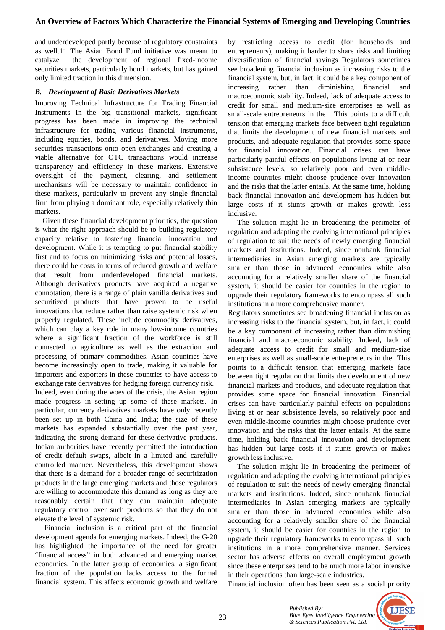and underdeveloped partly because of regulatory constraints as well.11 The Asian Bond Fund initiative was meant to catalyze the development of regional fixed-income securities markets, particularly bond markets, but has gained only limited traction in this dimension.

## *B. Development of Basic Derivatives Markets*

Improving Technical Infrastructure for Trading Financial Instruments In the big transitional markets, significant progress has been made in improving the technical infrastructure for trading various financial instruments, including equities, bonds, and derivatives. Moving more securities transactions onto open exchanges and creating a viable alternative for OTC transactions would increase transparency and efficiency in these markets. Extensive oversight of the payment, clearing, and settlement mechanisms will be necessary to maintain confidence in these markets, particularly to prevent any single financial firm from playing a dominant role, especially relatively thin markets.

 Given these financial development priorities, the question is what the right approach should be to building regulatory capacity relative to fostering financial innovation and development. While it is tempting to put financial stability first and to focus on minimizing risks and potential losses, there could be costs in terms of reduced growth and welfare that result from underdeveloped financial markets. Although derivatives products have acquired a negative connotation, there is a range of plain vanilla derivatives and securitized products that have proven to be useful innovations that reduce rather than raise systemic risk when properly regulated. These include commodity derivatives, which can play a key role in many low-income countries where a significant fraction of the workforce is still connected to agriculture as well as the extraction and processing of primary commodities. Asian countries have become increasingly open to trade, making it valuable for importers and exporters in these countries to have access to exchange rate derivatives for hedging foreign currency risk.

Indeed, even during the woes of the crisis, the Asian region made progress in setting up some of these markets. In particular, currency derivatives markets have only recently been set up in both China and India; the size of these markets has expanded substantially over the past year, indicating the strong demand for these derivative products. Indian authorities have recently permitted the introduction of credit default swaps, albeit in a limited and carefully controlled manner. Nevertheless, this development shows that there is a demand for a broader range of securitization products in the large emerging markets and those regulators are willing to accommodate this demand as long as they are reasonably certain that they can maintain adequate regulatory control over such products so that they do not elevate the level of systemic risk.

 Financial inclusion is a critical part of the financial development agenda for emerging markets. Indeed, the G-20 has highlighted the importance of the need for greater "financial access" in both advanced and emerging market economies. In the latter group of economies, a significant fraction of the population lacks access to the formal financial system. This affects economic growth and welfare

by restricting access to credit (for households and entrepreneurs), making it harder to share risks and limiting diversification of financial savings Regulators sometimes see broadening financial inclusion as increasing risks to the financial system, but, in fact, it could be a key component of increasing rather than diminishing financial and macroeconomic stability. Indeed, lack of adequate access to credit for small and medium-size enterprises as well as small-scale entrepreneurs in the This points to a difficult tension that emerging markets face between tight regulation that limits the development of new financial markets and products, and adequate regulation that provides some space for financial innovation. Financial crises can have particularly painful effects on populations living at or near subsistence levels, so relatively poor and even middleincome countries might choose prudence over innovation and the risks that the latter entails. At the same time, holding back financial innovation and development has hidden but large costs if it stunts growth or makes growth less inclusive.

 The solution might lie in broadening the perimeter of regulation and adapting the evolving international principles of regulation to suit the needs of newly emerging financial markets and institutions. Indeed, since nonbank financial intermediaries in Asian emerging markets are typically smaller than those in advanced economies while also accounting for a relatively smaller share of the financial system, it should be easier for countries in the region to upgrade their regulatory frameworks to encompass all such institutions in a more comprehensive manner.

Regulators sometimes see broadening financial inclusion as increasing risks to the financial system, but, in fact, it could be a key component of increasing rather than diminishing financial and macroeconomic stability. Indeed, lack of adequate access to credit for small and medium-size enterprises as well as small-scale entrepreneurs in the This points to a difficult tension that emerging markets face between tight regulation that limits the development of new financial markets and products, and adequate regulation that provides some space for financial innovation. Financial crises can have particularly painful effects on populations living at or near subsistence levels, so relatively poor and even middle-income countries might choose prudence over innovation and the risks that the latter entails. At the same time, holding back financial innovation and development has hidden but large costs if it stunts growth or makes growth less inclusive.

 The solution might lie in broadening the perimeter of regulation and adapting the evolving international principles of regulation to suit the needs of newly emerging financial markets and institutions. Indeed, since nonbank financial intermediaries in Asian emerging markets are typically smaller than those in advanced economies while also accounting for a relatively smaller share of the financial system, it should be easier for countries in the region to upgrade their regulatory frameworks to encompass all such institutions in a more comprehensive manner. Services sector has adverse effects on overall employment growth since these enterprises tend to be much more labor intensive in their operations than large-scale industries.

Financial inclusion often has been seen as a social priority

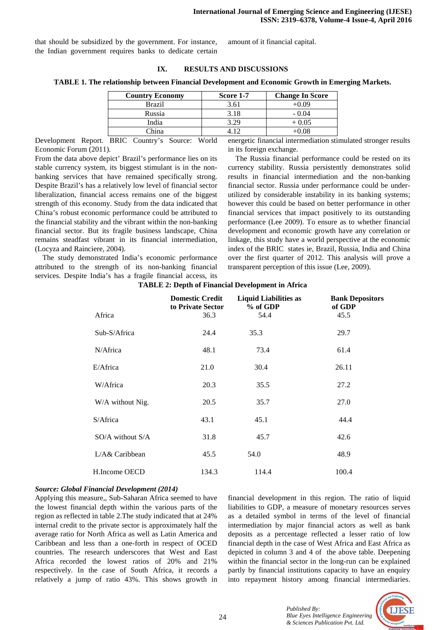that should be subsidized by the government. For instance, the Indian government requires banks to dedicate certain

amount of it financial capital.

#### **IX. RESULTS AND DISCUSSIONS**

#### **TABLE 1. The relationship between Financial Development and Economic Growth in Emerging Markets.**

| <b>Country Economy</b> | Score 1-7 | <b>Change In Score</b> |
|------------------------|-----------|------------------------|
| Brazil                 | 3.61      | ⊦0.09                  |
| Russia                 | 3.18      | $-0.04$                |
| India                  | 3.29      | + 0.05                 |
| `hina                  |           |                        |

Development Report. BRIC Country's Source: World Economic Forum (2011).

From the data above depict' Brazil's performance lies on its stable currency system, its biggest stimulant is in the nonbanking services that have remained specifically strong. Despite Brazil's has a relatively low level of financial sector liberalization, financial access remains one of the biggest strength of this economy. Study from the data indicated that China's robust economic performance could be attributed to the financial stability and the vibrant within the non-banking financial sector. But its fragile business landscape, China remains steadfast vibrant in its financial intermediation, (Locyza and Rainciere, 2004).

 The study demonstrated India's economic performance attributed to the strength of its non-banking financial services. Despite India's has a fragile financial access, its

energetic financial intermediation stimulated stronger results in its foreign exchange.

 The Russia financial performance could be rested on its currency stability. Russia persistently demonstrates solid results in financial intermediation and the non-banking financial sector. Russia under performance could be underutilized by considerable instability in its banking systems; however this could be based on better performance in other financial services that impact positively to its outstanding performance (Lee 2009). To ensure as to whether financial development and economic growth have any correlation or linkage, this study have a world perspective at the economic index of the BRIC states ie, Brazil, Russia, India and China over the first quarter of 2012. This analysis will prove a transparent perception of this issue (Lee, 2009).

|                      | <b>Domestic Credit</b><br>to Private Sector | <b>Liquid Liabilities as</b><br>% of GDP | <b>Bank Depositors</b><br>of GDP |
|----------------------|---------------------------------------------|------------------------------------------|----------------------------------|
| Africa               | 36.3                                        | 54.4                                     | 45.5                             |
| Sub-S/Africa         | 24.4                                        | 35.3                                     | 29.7                             |
| N/Africa             | 48.1                                        | 73.4                                     | 61.4                             |
| E/Africa             | 21.0                                        | 30.4                                     | 26.11                            |
| W/Africa             | 20.3                                        | 35.5                                     | 27.2                             |
| W/A without Nig.     | 20.5                                        | 35.7                                     | 27.0                             |
| S/Africa             | 43.1                                        | 45.1                                     | 44.4                             |
| $SO/A$ without $S/A$ | 31.8                                        | 45.7                                     | 42.6                             |
| L/A& Caribbean       | 45.5                                        | 54.0                                     | 48.9                             |
| H.Income OECD        | 134.3                                       | 114.4                                    | 100.4                            |

#### **TABLE 2: Depth of Financial Development in Africa**

#### *Source: Global Financial Development (2014)*

Applying this measure,, Sub-Saharan Africa seemed to have the lowest financial depth within the various parts of the region as reflected in table 2.The study indicated that at 24% internal credit to the private sector is approximately half the average ratio for North Africa as well as Latin America and Caribbean and less than a one-forth in respect of OCED countries. The research underscores that West and East Africa recorded the lowest ratios of 20% and 21% respectively. In the case of South Africa, it records a relatively a jump of ratio 43%. This shows growth in

financial development in this region. The ratio of liquid liabilities to GDP, a measure of monetary resources serves as a detailed symbol in terms of the level of financial intermediation by major financial actors as well as bank deposits as a percentage reflected a lesser ratio of low financial depth in the case of West Africa and East Africa as depicted in column 3 and 4 of the above table. Deepening within the financial sector in the long-run can be explained partly by financial institutions capacity to have an enquiry into repayment history among financial intermediaries.

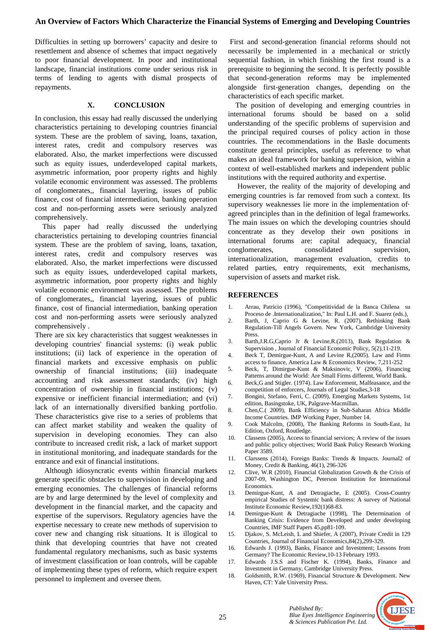## **An Overview of Factors Which Characterize the Financial Systems of Emerging and Developing Countries**

Difficulties in setting up borrowers' capacity and desire to resettlement and absence of schemes that impact negatively to poor financial development. In poor and institutional landscape, financial institutions come under serious risk in terms of lending to agents with dismal prospects of repayments.

#### **X. CONCLUSION**

In conclusion, this essay had really discussed the underlying characteristics pertaining to developing countries financial system. These are the problem of saving, loans, taxation, interest rates, credit and compulsory reserves was elaborated. Also, the market imperfections were discussed such as equity issues, underdeveloped capital markets, asymmetric information, poor property rights and highly volatile economic environment was assessed. The problems of conglomerates,, financial layering, issues of public finance, cost of financial intermediation, banking operation cost and non-performing assets were seriously analyzed comprehensively.

 This paper had really discussed the underlying characteristics pertaining to developing countries financial system. These are the problem of saving, loans, taxation, interest rates, credit and compulsory reserves was elaborated. Also, the market imperfections were discussed such as equity issues, underdeveloped capital markets, asymmetric information, poor property rights and highly volatile economic environment was assessed. The problems of conglomerates,, financial layering, issues of public finance, cost of financial intermediation, banking operation cost and non-performing assets were seriously analyzed comprehensively .

There are six key characteristics that suggest weaknesses in developing countries' financial systems: (i) weak public institutions; (ii) lack of experience in the operation of financial markets and excessive emphasis on public ownership of financial institutions; (iii) inadequate accounting and risk assessment standards; (iv) high concentration of ownership in financial institutions; (v) expensive or inefficient financial intermediation; and (vi) lack of an internationally diversified banking portfolio. These characteristics give rise to a series of problems that can affect market stability and weaken the quality of supervision in developing economies. They can also contribute to increased credit risk, a lack of market support in institutional monitoring, and inadequate standards for the entrance and exit of financial institutions.

 Although idiosyncratic events within financial markets generate specific obstacles to supervision in developing and emerging economies. The challenges of financial reforms are by and large determined by the level of complexity and development in the financial market, and the capacity and expertise of the supervisors. Regulatory agencies have the expertise necessary to create new methods of supervision to cover new and changing risk situations. It is illogical to think that developing countries that have not created fundamental regulatory mechanisms, such as basic systems of investment classification or loan controls, will be capable of implementing these types of reform, which require expert personnel to implement and oversee them.

 First and second-generation financial reforms should not necessarily be implemented in a mechanical or strictly sequential fashion, in which finishing the first round is a prerequisite to beginning the second. It is perfectly possible that second-generation reforms may be implemented alongside first-generation changes, depending on the characteristics of each specific market.

 The position of developing and emerging countries in international forums should be based on a solid understanding of the specific problems of supervision and the principal required courses of policy action in those countries. The recommendations in the Basle documents constitute general principles, useful as reference to what makes an ideal framework for banking supervision, within a context of well-established markets and independent public institutions with the required authority and expertise.

 However, the reality of the majority of developing and emerging countries is far removed from such a context. Its supervisory weaknesses lie more in the implementation of· agreed principles than in the definition of legal frameworks. The main issues on which the developing countries should concentrate as they develop their own positions in international forums are: capital adequacy, financial conglomerates, consolidated supervision, internationalization, management evaluation, credits to related parties, entry requirements, exit mechanisms, supervision of assets and market risk.

#### **REFERENCES**

- 1. Arrau, Patricio (1996), "Competitividad de la Banca Chilena su Proceso de .Internationalization," In: Paul L.H. and F. Suarez (eds.),
- 2. Barth, J, Caprio G & Levine, R. (2007), Rethinking Bank Regulation-Till Angels Govern. New York, Cambridge University Press.
- 3. Barth,J.R.G,Caprio Jr & Levine,R.(2013), Bank Regulation & Supervision , Journal of Financial Economic Policy, 5(2),11-219.
- 4. Beck T, Demirgue-Kunt, A and Levine R,(2005). Law and Firms access to finance, America Law & Economics Review, 7,211-252
- 5. Beck, T, Dimirgue-Kunt & Maksinovic, V (2006), Financing Patterns around the World: Are Small Firms different, World Bank.
- 6. Beck,G and Stigler. (1974). Law Enforcement, Malfeasance, and the competition of enforcers, Journals of Legal Studies,3-18
- 7. Bongini, Stefano, Ferri, C. (2009), Emerging Markets Systems, 1st edition, Basingstoke, UK, Palgrave-Macmillan.
- 8. Chen,C.( 2009), Bank Efficiency in Sub-Saharan Africa Middle Income Countries. IMP Working Paper, Number 14.
- 9. Cook Malcolm, (2008), The Banking Reforms in South-East, Ist Edition, Oxford, Routledge.
- 10. Classens (2005), Access to financial services; A review of the issues and public policy objectives; World Bank Policy Research Working Paper 3589.
- 11. Clarssens (2014), Foreign Banks: Trends & Impacts. Journal2 of Money, Credit & Banking, 46(1), 296-326
- 12. Clive, W.R (2010), Financial Globalization Growth & the Crisis of 2007-09, Washington DC, Peterson Institution for International Economics.
- 13. Demirgue-Kunt, A and Detragiache, E (2005). Cross-Country empirical Studies of Systemic bank distress: A survey of National Institute Economic Review,192(1)68-83.
- 14. Demirgue-Kunt & Detragiache (1998), The Determination of Banking Crisis: Evidence from Developed and under developing Countries, IMF Staff Papers 45,pp81-109.
- 15. Djakov, S. McLeish, L and Shiefer, A (2007), Private Credit in 129 Countries, Journal of Financial Economics,84(2),299-329.
- 16. Edwards J. (1993), Banks, Finance and Investment; Lessons from Germany? The Economic Review,10-13 February 1993.
- 17. Edwards J.S.S and Fischer K. (1994), Banks, Finance and Investment in Germany, Cambridge University Press.
- 18. Goldsmith, R.W. (1969), Financial Structure & Development. New Haven, CT: Yale University Press.

*& Sciences Publication Pvt. Ltd.* 

*Published By:*